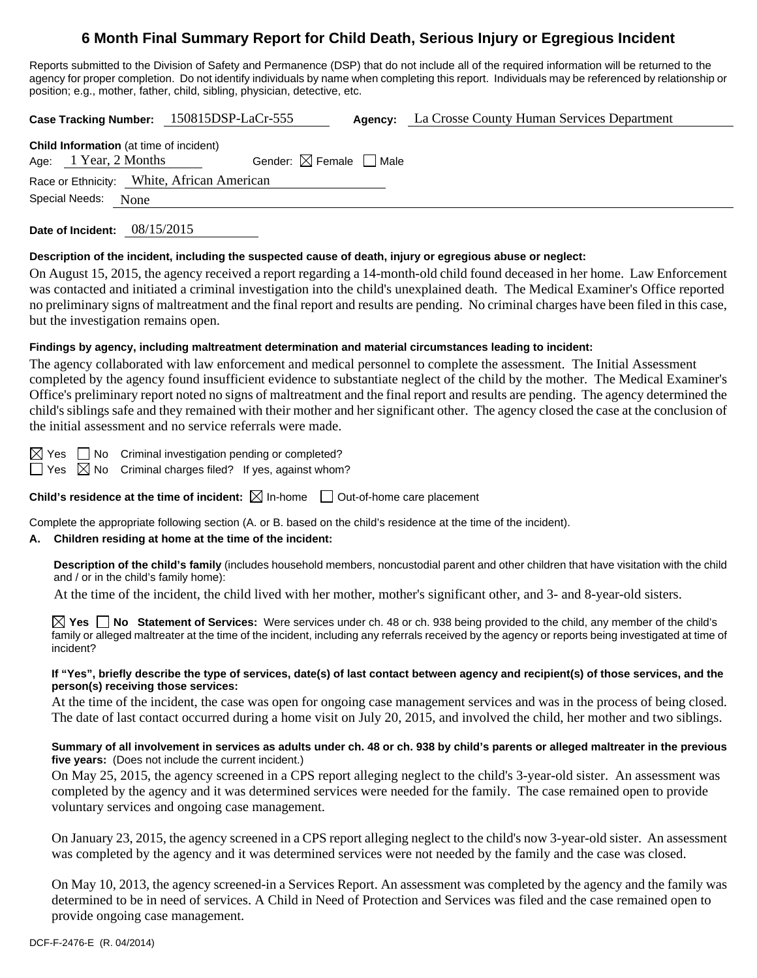# **6 Month Final Summary Report for Child Death, Serious Injury or Egregious Incident**

Reports submitted to the Division of Safety and Permanence (DSP) that do not include all of the required information will be returned to the agency for proper completion. Do not identify individuals by name when completing this report. Individuals may be referenced by relationship or position; e.g., mother, father, child, sibling, physician, detective, etc.

**Case Tracking Number:** 150815DSP-LaCr-555 **Agency:** La Crosse County Human Services Department

|                                            | <b>Child Information</b> (at time of incident) |                                        |  |  |
|--------------------------------------------|------------------------------------------------|----------------------------------------|--|--|
| Age: 1 Year, 2 Months                      |                                                | Gender: $\boxtimes$ Female $\Box$ Male |  |  |
| Race or Ethnicity: White, African American |                                                |                                        |  |  |
| Special Needs:                             | None                                           |                                        |  |  |
|                                            |                                                |                                        |  |  |

**Date of Incident:** 08/15/2015

### **Description of the incident, including the suspected cause of death, injury or egregious abuse or neglect:**

On August 15, 2015, the agency received a report regarding a 14-month-old child found deceased in her home. Law Enforcement was contacted and initiated a criminal investigation into the child's unexplained death. The Medical Examiner's Office reported no preliminary signs of maltreatment and the final report and results are pending. No criminal charges have been filed in this case, but the investigation remains open.

# **Findings by agency, including maltreatment determination and material circumstances leading to incident:**

The agency collaborated with law enforcement and medical personnel to complete the assessment. The Initial Assessment completed by the agency found insufficient evidence to substantiate neglect of the child by the mother. The Medical Examiner's Office's preliminary report noted no signs of maltreatment and the final report and results are pending. The agency determined the child's siblings safe and they remained with their mother and her significant other. The agency closed the case at the conclusion of the initial assessment and no service referrals were made.

 $\boxtimes$  Yes  $\Box$  No Criminal investigation pending or completed?

 $\Box$  Yes  $\boxtimes$  No Criminal charges filed? If yes, against whom?

**Child's residence at the time of incident:**  $\boxtimes$  In-home  $\Box$  Out-of-home care placement

Complete the appropriate following section (A. or B. based on the child's residence at the time of the incident).

# **A. Children residing at home at the time of the incident:**

**Description of the child's family** (includes household members, noncustodial parent and other children that have visitation with the child and / or in the child's family home):

At the time of the incident, the child lived with her mother, mother's significant other, and 3- and 8-year-old sisters.

**Yes No Statement of Services:** Were services under ch. 48 or ch. 938 being provided to the child, any member of the child's family or alleged maltreater at the time of the incident, including any referrals received by the agency or reports being investigated at time of incident?

#### **If "Yes", briefly describe the type of services, date(s) of last contact between agency and recipient(s) of those services, and the person(s) receiving those services:**

At the time of the incident, the case was open for ongoing case management services and was in the process of being closed. The date of last contact occurred during a home visit on July 20, 2015, and involved the child, her mother and two siblings.

### **Summary of all involvement in services as adults under ch. 48 or ch. 938 by child's parents or alleged maltreater in the previous five years:** (Does not include the current incident.)

On May 25, 2015, the agency screened in a CPS report alleging neglect to the child's 3-year-old sister. An assessment was completed by the agency and it was determined services were needed for the family. The case remained open to provide voluntary services and ongoing case management.

On January 23, 2015, the agency screened in a CPS report alleging neglect to the child's now 3-year-old sister. An assessment was completed by the agency and it was determined services were not needed by the family and the case was closed.

On May 10, 2013, the agency screened-in a Services Report. An assessment was completed by the agency and the family was determined to be in need of services. A Child in Need of Protection and Services was filed and the case remained open to provide ongoing case management.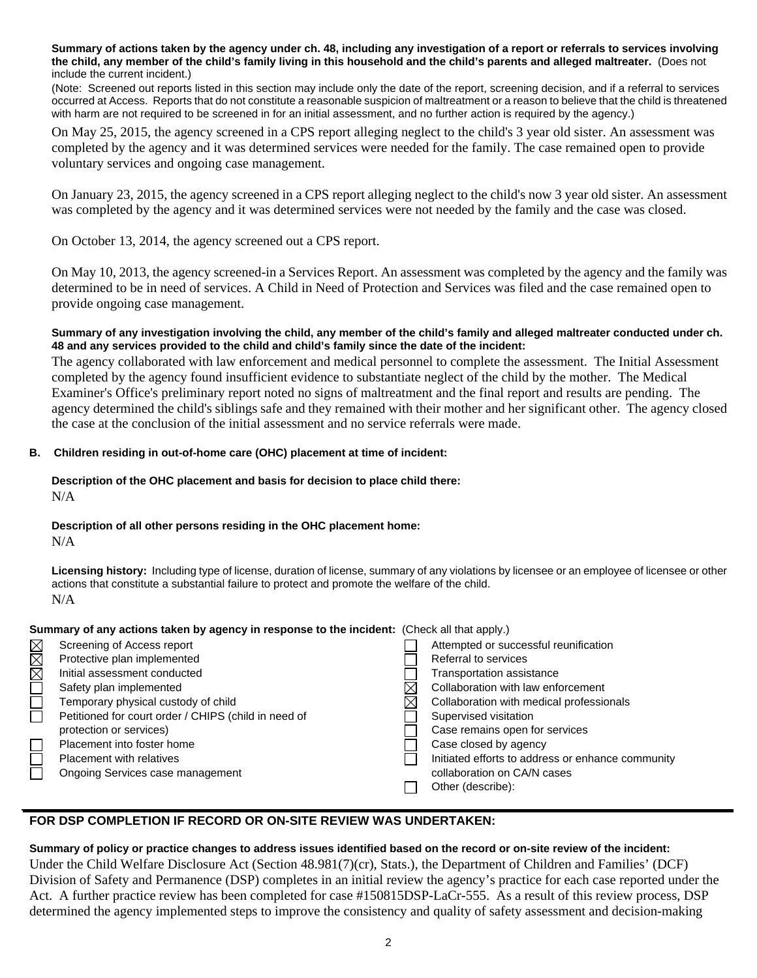**Summary of actions taken by the agency under ch. 48, including any investigation of a report or referrals to services involving the child, any member of the child's family living in this household and the child's parents and alleged maltreater.** (Does not include the current incident.)

(Note: Screened out reports listed in this section may include only the date of the report, screening decision, and if a referral to services occurred at Access. Reports that do not constitute a reasonable suspicion of maltreatment or a reason to believe that the child is threatened with harm are not required to be screened in for an initial assessment, and no further action is required by the agency.)

On May 25, 2015, the agency screened in a CPS report alleging neglect to the child's 3 year old sister. An assessment was completed by the agency and it was determined services were needed for the family. The case remained open to provide voluntary services and ongoing case management.

On January 23, 2015, the agency screened in a CPS report alleging neglect to the child's now 3 year old sister. An assessment was completed by the agency and it was determined services were not needed by the family and the case was closed.

On October 13, 2014, the agency screened out a CPS report.

On May 10, 2013, the agency screened-in a Services Report. An assessment was completed by the agency and the family was determined to be in need of services. A Child in Need of Protection and Services was filed and the case remained open to provide ongoing case management.

### **Summary of any investigation involving the child, any member of the child's family and alleged maltreater conducted under ch. 48 and any services provided to the child and child's family since the date of the incident:**

The agency collaborated with law enforcement and medical personnel to complete the assessment. The Initial Assessment completed by the agency found insufficient evidence to substantiate neglect of the child by the mother. The Medical Examiner's Office's preliminary report noted no signs of maltreatment and the final report and results are pending. The agency determined the child's siblings safe and they remained with their mother and her significant other. The agency closed the case at the conclusion of the initial assessment and no service referrals were made.

# **B. Children residing in out-of-home care (OHC) placement at time of incident:**

#### **Description of the OHC placement and basis for decision to place child there:**  N/A

# **Description of all other persons residing in the OHC placement home:**

N/A

**Licensing history:** Including type of license, duration of license, summary of any violations by licensee or an employee of licensee or other actions that constitute a substantial failure to protect and promote the welfare of the child. N/A

### **Summary of any actions taken by agency in response to the incident:** (Check all that apply.)

|                                   | Screening of Access report                           | Attempted or successful reunification             |
|-----------------------------------|------------------------------------------------------|---------------------------------------------------|
| $\square$ $\boxtimes$ $\boxtimes$ | Protective plan implemented                          | Referral to services                              |
|                                   | Initial assessment conducted                         | <b>Transportation assistance</b>                  |
|                                   | Safety plan implemented                              | Collaboration with law enforcement                |
| $\Box$                            | Temporary physical custody of child                  | Collaboration with medical professionals          |
| $\Box$                            | Petitioned for court order / CHIPS (child in need of | Supervised visitation                             |
|                                   | protection or services)                              | Case remains open for services                    |
|                                   | Placement into foster home                           | Case closed by agency                             |
| $\Box$                            | Placement with relatives                             | Initiated efforts to address or enhance community |
|                                   | Ongoing Services case management                     | collaboration on CA/N cases                       |
|                                   |                                                      | Other (describe):                                 |
|                                   |                                                      |                                                   |

# **FOR DSP COMPLETION IF RECORD OR ON-SITE REVIEW WAS UNDERTAKEN:**

### **Summary of policy or practice changes to address issues identified based on the record or on-site review of the incident:**

Under the Child Welfare Disclosure Act (Section 48.981(7)(cr), Stats.), the Department of Children and Families' (DCF) Division of Safety and Permanence (DSP) completes in an initial review the agency's practice for each case reported under the Act. A further practice review has been completed for case #150815DSP-LaCr-555. As a result of this review process, DSP determined the agency implemented steps to improve the consistency and quality of safety assessment and decision-making